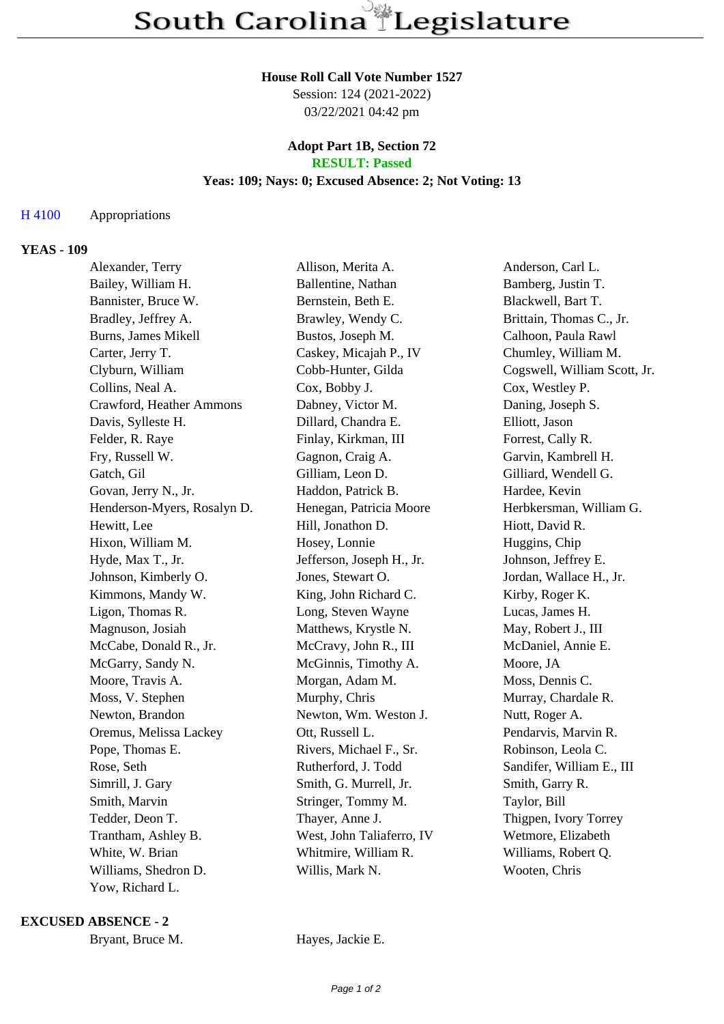#### **House Roll Call Vote Number 1527**

Session: 124 (2021-2022) 03/22/2021 04:42 pm

#### **Adopt Part 1B, Section 72 RESULT: Passed**

# **Yeas: 109; Nays: 0; Excused Absence: 2; Not Voting: 13**

## H 4100 Appropriations

### **YEAS - 109**

| Alexander, Terry            | Allison, Merita A.        | Anderson, Carl L.            |
|-----------------------------|---------------------------|------------------------------|
| Bailey, William H.          | Ballentine, Nathan        | Bamberg, Justin T.           |
| Bannister, Bruce W.         | Bernstein, Beth E.        | Blackwell, Bart T.           |
| Bradley, Jeffrey A.         | Brawley, Wendy C.         | Brittain, Thomas C., Jr.     |
| Burns, James Mikell         | Bustos, Joseph M.         | Calhoon, Paula Rawl          |
| Carter, Jerry T.            | Caskey, Micajah P., IV    | Chumley, William M.          |
| Clyburn, William            | Cobb-Hunter, Gilda        | Cogswell, William Scott, Jr. |
| Collins, Neal A.            | Cox, Bobby J.             | Cox, Westley P.              |
| Crawford, Heather Ammons    | Dabney, Victor M.         | Daning, Joseph S.            |
| Davis, Sylleste H.          | Dillard, Chandra E.       | Elliott, Jason               |
| Felder, R. Raye             | Finlay, Kirkman, III      | Forrest, Cally R.            |
| Fry, Russell W.             | Gagnon, Craig A.          | Garvin, Kambrell H.          |
| Gatch, Gil                  | Gilliam, Leon D.          | Gilliard, Wendell G.         |
| Govan, Jerry N., Jr.        | Haddon, Patrick B.        | Hardee, Kevin                |
| Henderson-Myers, Rosalyn D. | Henegan, Patricia Moore   | Herbkersman, William G.      |
| Hewitt, Lee                 | Hill, Jonathon D.         | Hiott, David R.              |
| Hixon, William M.           | Hosey, Lonnie             | Huggins, Chip                |
| Hyde, Max T., Jr.           | Jefferson, Joseph H., Jr. | Johnson, Jeffrey E.          |
| Johnson, Kimberly O.        | Jones, Stewart O.         | Jordan, Wallace H., Jr.      |
| Kimmons, Mandy W.           | King, John Richard C.     | Kirby, Roger K.              |
| Ligon, Thomas R.            | Long, Steven Wayne        | Lucas, James H.              |
| Magnuson, Josiah            | Matthews, Krystle N.      | May, Robert J., III          |
| McCabe, Donald R., Jr.      | McCravy, John R., III     | McDaniel, Annie E.           |
| McGarry, Sandy N.           | McGinnis, Timothy A.      | Moore, JA                    |
| Moore, Travis A.            | Morgan, Adam M.           | Moss, Dennis C.              |
| Moss, V. Stephen            | Murphy, Chris             | Murray, Chardale R.          |
| Newton, Brandon             | Newton, Wm. Weston J.     | Nutt, Roger A.               |
| Oremus, Melissa Lackey      | Ott, Russell L.           | Pendarvis, Marvin R.         |
| Pope, Thomas E.             | Rivers, Michael F., Sr.   | Robinson, Leola C.           |
| Rose, Seth                  | Rutherford, J. Todd       | Sandifer, William E., III    |
| Simrill, J. Gary            | Smith, G. Murrell, Jr.    | Smith, Garry R.              |
| Smith, Marvin               | Stringer, Tommy M.        | Taylor, Bill                 |
| Tedder, Deon T.             | Thayer, Anne J.           | Thigpen, Ivory Torrey        |
| Trantham, Ashley B.         | West, John Taliaferro, IV | Wetmore, Elizabeth           |
| White, W. Brian             | Whitmire, William R.      | Williams, Robert Q.          |
| Williams, Shedron D.        | Willis, Mark N.           | Wooten, Chris                |
| Yow, Richard L.             |                           |                              |

**EXCUSED ABSENCE - 2**

Bryant, Bruce M. Hayes, Jackie E.